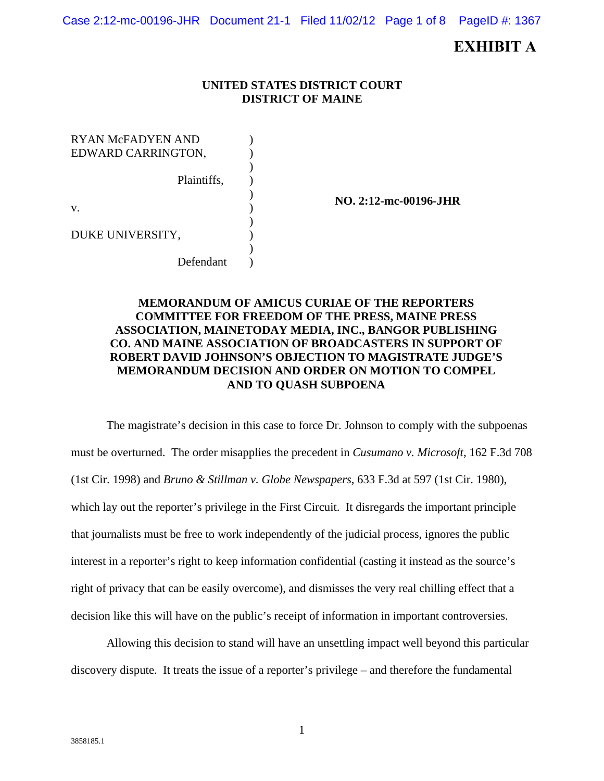Case 2:12-mc-00196-JHR Document 21-1 Filed 11/02/12 Page 1 of 8 PageID #: 1367

# **EXHIBIT A**

#### **UNITED STATES DISTRICT COURT DISTRICT OF MAINE**

RYAN McFADYEN AND EDWARD CARRINGTON, Plaintiffs, v. DUKE UNIVERSITY, Defendant ) ) ) ) ) ) ) ) ) )

**NO. 2:12-mc-00196-JHR** 

# **MEMORANDUM OF AMICUS CURIAE OF THE REPORTERS COMMITTEE FOR FREEDOM OF THE PRESS, MAINE PRESS ASSOCIATION, MAINETODAY MEDIA, INC., BANGOR PUBLISHING CO. AND MAINE ASSOCIATION OF BROADCASTERS IN SUPPORT OF ROBERT DAVID JOHNSON'S OBJECTION TO MAGISTRATE JUDGE'S MEMORANDUM DECISION AND ORDER ON MOTION TO COMPEL AND TO QUASH SUBPOENA**

 The magistrate's decision in this case to force Dr. Johnson to comply with the subpoenas must be overturned. The order misapplies the precedent in *Cusumano v. Microsoft*, 162 F.3d 708 (1st Cir. 1998) and *Bruno & Stillman v. Globe Newspapers*, 633 F.3d at 597 (1st Cir. 1980), which lay out the reporter's privilege in the First Circuit. It disregards the important principle that journalists must be free to work independently of the judicial process, ignores the public interest in a reporter's right to keep information confidential (casting it instead as the source's right of privacy that can be easily overcome), and dismisses the very real chilling effect that a decision like this will have on the public's receipt of information in important controversies.

 Allowing this decision to stand will have an unsettling impact well beyond this particular discovery dispute. It treats the issue of a reporter's privilege – and therefore the fundamental

1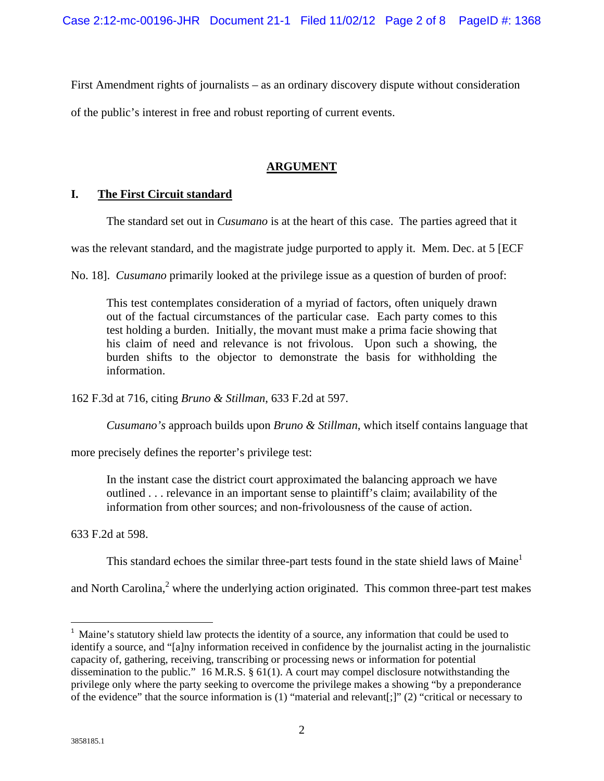First Amendment rights of journalists – as an ordinary discovery dispute without consideration

of the public's interest in free and robust reporting of current events.

# **ARGUMENT**

#### **I. The First Circuit standard**

The standard set out in *Cusumano* is at the heart of this case. The parties agreed that it

was the relevant standard, and the magistrate judge purported to apply it. Mem. Dec. at 5 [ECF

No. 18]. *Cusumano* primarily looked at the privilege issue as a question of burden of proof:

This test contemplates consideration of a myriad of factors, often uniquely drawn out of the factual circumstances of the particular case. Each party comes to this test holding a burden. Initially, the movant must make a prima facie showing that his claim of need and relevance is not frivolous. Upon such a showing, the burden shifts to the objector to demonstrate the basis for withholding the information.

162 F.3d at 716, citing *Bruno & Stillman*, 633 F.2d at 597.

*Cusumano's* approach builds upon *Bruno & Stillman*, which itself contains language that

more precisely defines the reporter's privilege test:

In the instant case the district court approximated the balancing approach we have outlined . . . relevance in an important sense to plaintiff's claim; availability of the information from other sources; and non-frivolousness of the cause of action.

633 F.2d at 598.

This standard echoes the similar three-part tests found in the state shield laws of Maine<sup>1</sup>

and North Carolina, $2$  where the underlying action originated. This common three-part test makes

<sup>&</sup>lt;sup>1</sup> Maine's statutory shield law protects the identity of a source, any information that could be used to identify a source, and "[a]ny information received in confidence by the journalist acting in the journalistic capacity of, gathering, receiving, transcribing or processing news or information for potential dissemination to the public." 16 M.R.S. § 61(1). A court may compel disclosure notwithstanding the privilege only where the party seeking to overcome the privilege makes a showing "by a preponderance of the evidence" that the source information is (1) "material and relevant[;]" (2) "critical or necessary to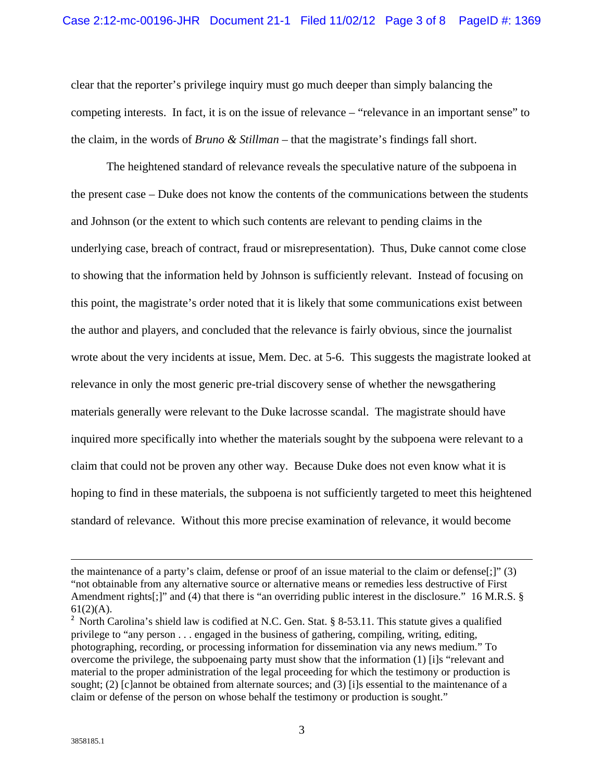clear that the reporter's privilege inquiry must go much deeper than simply balancing the competing interests. In fact, it is on the issue of relevance – "relevance in an important sense" to the claim, in the words of *Bruno & Stillman* – that the magistrate's findings fall short.

The heightened standard of relevance reveals the speculative nature of the subpoena in the present case – Duke does not know the contents of the communications between the students and Johnson (or the extent to which such contents are relevant to pending claims in the underlying case, breach of contract, fraud or misrepresentation). Thus, Duke cannot come close to showing that the information held by Johnson is sufficiently relevant. Instead of focusing on this point, the magistrate's order noted that it is likely that some communications exist between the author and players, and concluded that the relevance is fairly obvious, since the journalist wrote about the very incidents at issue, Mem. Dec. at 5-6. This suggests the magistrate looked at relevance in only the most generic pre-trial discovery sense of whether the newsgathering materials generally were relevant to the Duke lacrosse scandal. The magistrate should have inquired more specifically into whether the materials sought by the subpoena were relevant to a claim that could not be proven any other way. Because Duke does not even know what it is hoping to find in these materials, the subpoena is not sufficiently targeted to meet this heightened standard of relevance. Without this more precise examination of relevance, it would become

<u> 1989 - Johann Stein, marwolaethau a gweledydd a ganlad y ganlad y ganlad y ganlad y ganlad y ganlad y ganlad</u>

the maintenance of a party's claim, defense or proof of an issue material to the claim or defense[;]" (3) "not obtainable from any alternative source or alternative means or remedies less destructive of First Amendment rights[;]" and (4) that there is "an overriding public interest in the disclosure." 16 M.R.S. §  $61(2)(A)$ .

<sup>&</sup>lt;sup>2</sup> North Carolina's shield law is codified at N.C. Gen. Stat. § 8-53.11. This statute gives a qualified privilege to "any person . . . engaged in the business of gathering, compiling, writing, editing, photographing, recording, or processing information for dissemination via any news medium." To overcome the privilege, the subpoenaing party must show that the information (1) [i]s "relevant and material to the proper administration of the legal proceeding for which the testimony or production is sought; (2) [c]annot be obtained from alternate sources; and (3) [i]s essential to the maintenance of a claim or defense of the person on whose behalf the testimony or production is sought."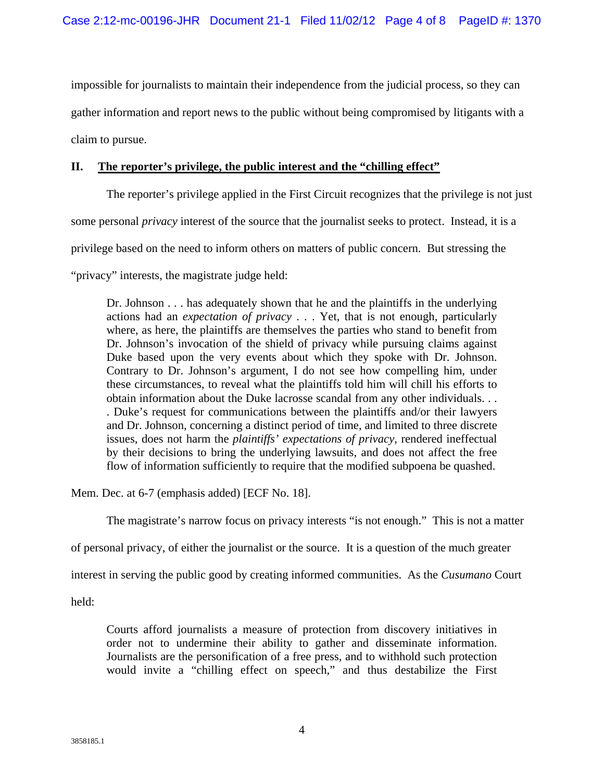impossible for journalists to maintain their independence from the judicial process, so they can gather information and report news to the public without being compromised by litigants with a claim to pursue.

# **II. The reporter's privilege, the public interest and the "chilling effect"**

The reporter's privilege applied in the First Circuit recognizes that the privilege is not just some personal *privacy* interest of the source that the journalist seeks to protect. Instead, it is a privilege based on the need to inform others on matters of public concern. But stressing the "privacy" interests, the magistrate judge held:

Dr. Johnson . . . has adequately shown that he and the plaintiffs in the underlying actions had an *expectation of privacy* . . . Yet, that is not enough, particularly where, as here, the plaintiffs are themselves the parties who stand to benefit from Dr. Johnson's invocation of the shield of privacy while pursuing claims against Duke based upon the very events about which they spoke with Dr. Johnson. Contrary to Dr. Johnson's argument, I do not see how compelling him, under these circumstances, to reveal what the plaintiffs told him will chill his efforts to obtain information about the Duke lacrosse scandal from any other individuals. . . . Duke's request for communications between the plaintiffs and/or their lawyers and Dr. Johnson, concerning a distinct period of time, and limited to three discrete issues, does not harm the *plaintiffs' expectations of privacy*, rendered ineffectual by their decisions to bring the underlying lawsuits, and does not affect the free flow of information sufficiently to require that the modified subpoena be quashed.

Mem. Dec. at 6-7 (emphasis added) [ECF No. 18].

The magistrate's narrow focus on privacy interests "is not enough." This is not a matter

of personal privacy, of either the journalist or the source. It is a question of the much greater

interest in serving the public good by creating informed communities. As the *Cusumano* Court

held:

Courts afford journalists a measure of protection from discovery initiatives in order not to undermine their ability to gather and disseminate information. Journalists are the personification of a free press, and to withhold such protection would invite a "chilling effect on speech," and thus destabilize the First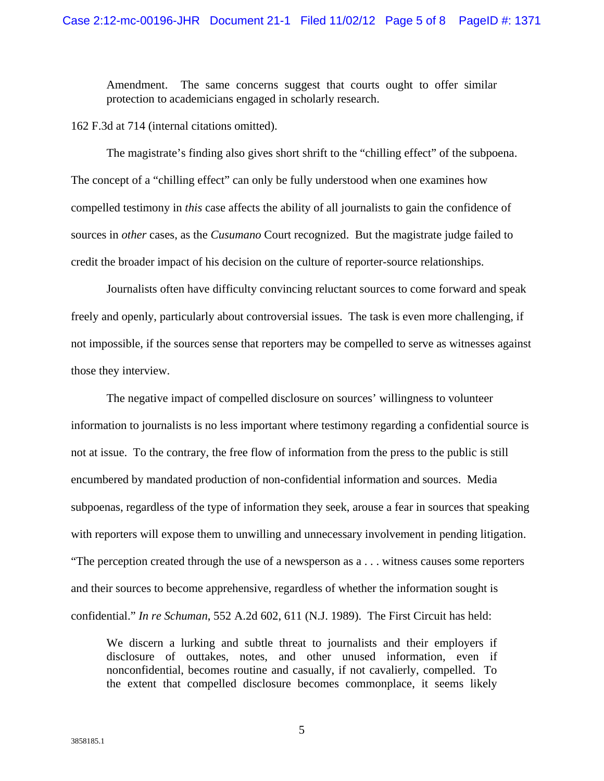Amendment. The same concerns suggest that courts ought to offer similar protection to academicians engaged in scholarly research.

162 F.3d at 714 (internal citations omitted).

 The magistrate's finding also gives short shrift to the "chilling effect" of the subpoena. The concept of a "chilling effect" can only be fully understood when one examines how compelled testimony in *this* case affects the ability of all journalists to gain the confidence of sources in *other* cases, as the *Cusumano* Court recognized. But the magistrate judge failed to credit the broader impact of his decision on the culture of reporter-source relationships.

Journalists often have difficulty convincing reluctant sources to come forward and speak freely and openly, particularly about controversial issues. The task is even more challenging, if not impossible, if the sources sense that reporters may be compelled to serve as witnesses against those they interview.

The negative impact of compelled disclosure on sources' willingness to volunteer information to journalists is no less important where testimony regarding a confidential source is not at issue. To the contrary, the free flow of information from the press to the public is still encumbered by mandated production of non-confidential information and sources. Media subpoenas, regardless of the type of information they seek, arouse a fear in sources that speaking with reporters will expose them to unwilling and unnecessary involvement in pending litigation. "The perception created through the use of a newsperson as a . . . witness causes some reporters and their sources to become apprehensive, regardless of whether the information sought is confidential." *In re Schuman*, 552 A.2d 602, 611 (N.J. 1989). The First Circuit has held:

We discern a lurking and subtle threat to journalists and their employers if disclosure of outtakes, notes, and other unused information, even if nonconfidential, becomes routine and casually, if not cavalierly, compelled. To the extent that compelled disclosure becomes commonplace, it seems likely

5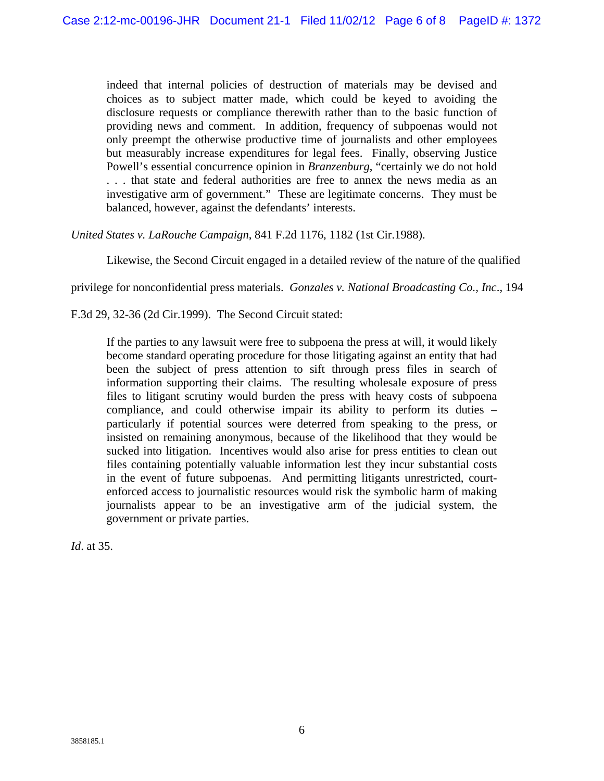indeed that internal policies of destruction of materials may be devised and choices as to subject matter made, which could be keyed to avoiding the disclosure requests or compliance therewith rather than to the basic function of providing news and comment. In addition, frequency of subpoenas would not only preempt the otherwise productive time of journalists and other employees but measurably increase expenditures for legal fees. Finally, observing Justice Powell's essential concurrence opinion in *Branzenburg*, "certainly we do not hold . . . that state and federal authorities are free to annex the news media as an investigative arm of government." These are legitimate concerns. They must be balanced, however, against the defendants' interests.

*United States v. LaRouche Campaign*, 841 F.2d 1176, 1182 (1st Cir.1988).

Likewise, the Second Circuit engaged in a detailed review of the nature of the qualified

privilege for nonconfidential press materials. *Gonzales v. National Broadcasting Co., Inc*., 194

F.3d 29, 32-36 (2d Cir.1999). The Second Circuit stated:

If the parties to any lawsuit were free to subpoena the press at will, it would likely become standard operating procedure for those litigating against an entity that had been the subject of press attention to sift through press files in search of information supporting their claims. The resulting wholesale exposure of press files to litigant scrutiny would burden the press with heavy costs of subpoena compliance, and could otherwise impair its ability to perform its duties – particularly if potential sources were deterred from speaking to the press, or insisted on remaining anonymous, because of the likelihood that they would be sucked into litigation. Incentives would also arise for press entities to clean out files containing potentially valuable information lest they incur substantial costs in the event of future subpoenas. And permitting litigants unrestricted, courtenforced access to journalistic resources would risk the symbolic harm of making journalists appear to be an investigative arm of the judicial system, the government or private parties.

*Id*. at 35.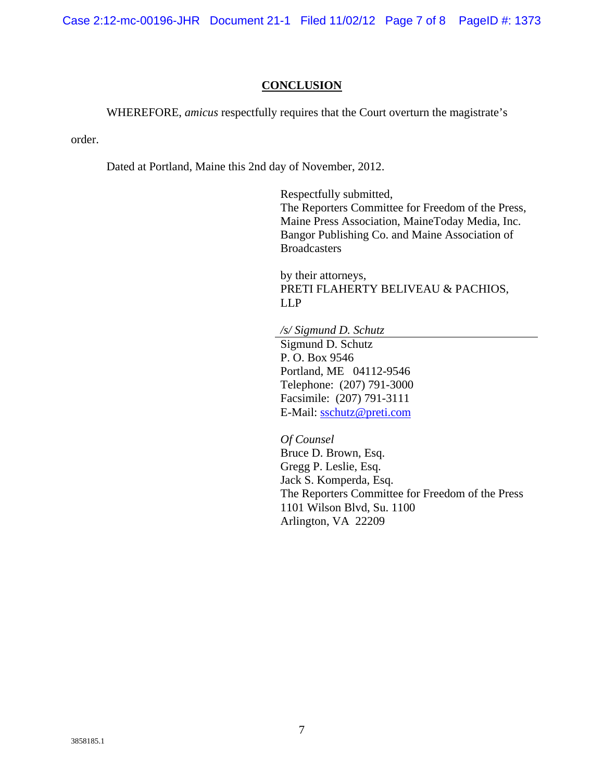Case 2:12-mc-00196-JHR Document 21-1 Filed 11/02/12 Page 7 of 8 PageID #: 1373

## **CONCLUSION**

WHEREFORE, *amicus* respectfully requires that the Court overturn the magistrate's

order.

Dated at Portland, Maine this 2nd day of November, 2012.

 Respectfully submitted, The Reporters Committee for Freedom of the Press, Maine Press Association, MaineToday Media, Inc. Bangor Publishing Co. and Maine Association of **Broadcasters** 

by their attorneys, PRETI FLAHERTY BELIVEAU & PACHIOS, LLP

*/s/ Sigmund D. Schutz*

 Sigmund D. Schutz P. O. Box 9546 Portland, ME 04112-9546 Telephone: (207) 791-3000 Facsimile: (207) 791-3111 E-Mail: sschutz@preti.com

*Of Counsel*  Bruce D. Brown, Esq. Gregg P. Leslie, Esq. Jack S. Komperda, Esq. The Reporters Committee for Freedom of the Press 1101 Wilson Blvd, Su. 1100 Arlington, VA 22209